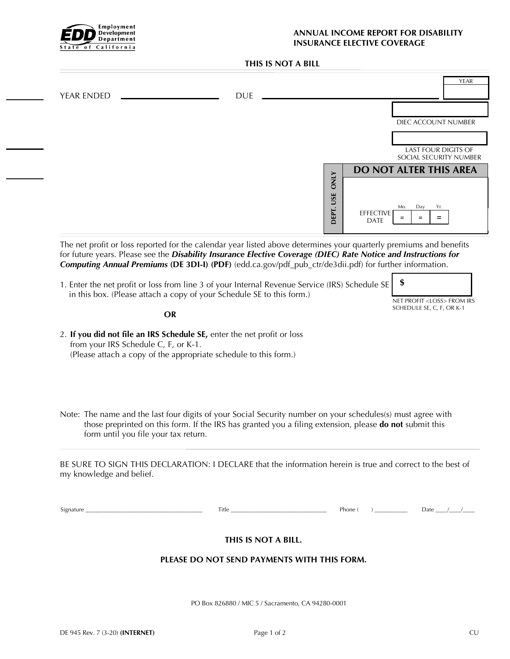

## **ANNUAL INCOME REPORT FOR DISABILITY INSURANCE ELECTIVE COVERAGE**

## **THIS IS NOT A BILL**

| <b>YEAR ENDED</b>                                                                                                                                                                                                                                                                                                                                | <b>DUE</b>                                                                                              |             |                                 | <b>YEAR</b>                                 |
|--------------------------------------------------------------------------------------------------------------------------------------------------------------------------------------------------------------------------------------------------------------------------------------------------------------------------------------------------|---------------------------------------------------------------------------------------------------------|-------------|---------------------------------|---------------------------------------------|
|                                                                                                                                                                                                                                                                                                                                                  |                                                                                                         |             |                                 |                                             |
|                                                                                                                                                                                                                                                                                                                                                  |                                                                                                         |             |                                 | DIEC ACCOUNT NUMBER                         |
|                                                                                                                                                                                                                                                                                                                                                  |                                                                                                         |             |                                 | <b>LAST FOUR DIGITS OF</b>                  |
|                                                                                                                                                                                                                                                                                                                                                  |                                                                                                         |             |                                 | SOCIAL SECURITY NUMBER                      |
|                                                                                                                                                                                                                                                                                                                                                  |                                                                                                         | <b>ONLY</b> |                                 | <b>DO NOT ALTER THIS AREA</b>               |
|                                                                                                                                                                                                                                                                                                                                                  |                                                                                                         |             |                                 |                                             |
|                                                                                                                                                                                                                                                                                                                                                  |                                                                                                         | DEPT. USE   | <b>EFFECTIVE</b><br><b>DATE</b> | Mo.<br>Day<br>Yr.<br>$\equiv$<br>$=$<br>$=$ |
| The net profit or loss reported for the calendar year listed above determines your quarterly premiums and benefits<br>for future years. Please see the Disability Insurance Elective Coverage (DIEC) Rate Notice and Instructions for<br>Computing Annual Premiums (DE 3DI-I) (PDF) (edd.ca.gov/pdf_pub_ctr/de3dii.pdf) for further information. |                                                                                                         |             |                                 |                                             |
| 1. Enter the net profit or loss from line 3 of your Internal Revenue Service (IRS) Schedule SE<br>in this box. (Please attach a copy of your Schedule SE to this form.)                                                                                                                                                                          |                                                                                                         |             |                                 | \$<br>NET PROFIT <loss> FROM IRS</loss>     |
| <b>OR</b>                                                                                                                                                                                                                                                                                                                                        |                                                                                                         |             |                                 | SCHEDULE SE, C, F, OR K-1                   |
| 2. If you did not file an IRS Schedule SE, enter the net profit or loss<br>from your IRS Schedule C, F, or K-1.<br>(Please attach a copy of the appropriate schedule to this form.)                                                                                                                                                              |                                                                                                         |             |                                 |                                             |
| Note: The name and the last four digits of your Social Security number on your schedules(s) must agree with<br>form until you file your tax return.                                                                                                                                                                                              | those preprinted on this form. If the IRS has granted you a filing extension, please do not submit this |             |                                 |                                             |
| BE SURE TO SIGN THIS DECLARATION: I DECLARE that the information herein is true and correct to the best of<br>my knowledge and belief.                                                                                                                                                                                                           |                                                                                                         |             |                                 |                                             |
|                                                                                                                                                                                                                                                                                                                                                  |                                                                                                         |             |                                 |                                             |
|                                                                                                                                                                                                                                                                                                                                                  | THIS IS NOT A BILL.                                                                                     |             |                                 |                                             |
|                                                                                                                                                                                                                                                                                                                                                  | PLEASE DO NOT SEND PAYMENTS WITH THIS FORM.                                                             |             |                                 |                                             |

PO Box 826880 / MIC 5 / Sacramento, CA 94280-0001